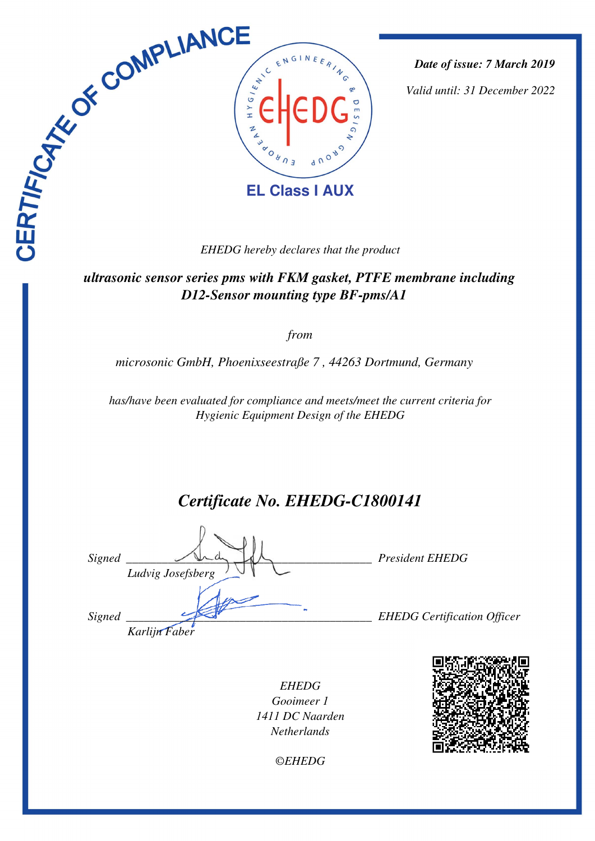

*Date of issue: 7 March 2019*

*Valid until: 31 December 2022*

*EHEDG hereby declares that the product*

 *ultrasonic sensor series pms with FKM gasket, PTFE membrane including D12-Sensor mounting type BF-pms/A1* 

*from*

*microsonic GmbH, Phoenixseestraße 7 , 44263 Dortmund, Germany* 

*has/have been evaluated for compliance and meets/meet the current criteria for Hygienic Equipment Design of the EHEDG*

# *Certificate No. EHEDG-C1800141*

*Signed \_\_\_\_\_\_\_\_\_\_\_\_\_\_\_\_\_\_\_\_\_\_\_\_\_\_\_\_\_\_\_\_\_\_\_\_\_\_\_\_\_ President EHEDG Ludvig Josefsberg Signed \_\_\_\_\_\_\_\_\_\_\_\_\_\_\_\_\_\_\_\_\_\_\_\_\_\_\_\_\_\_\_\_\_\_\_\_\_\_\_\_\_ EHEDG Certification Officer Karlijn Faber*

*EHEDG Gooimeer 1 1411 DC Naarden Netherlands*



*©EHEDG*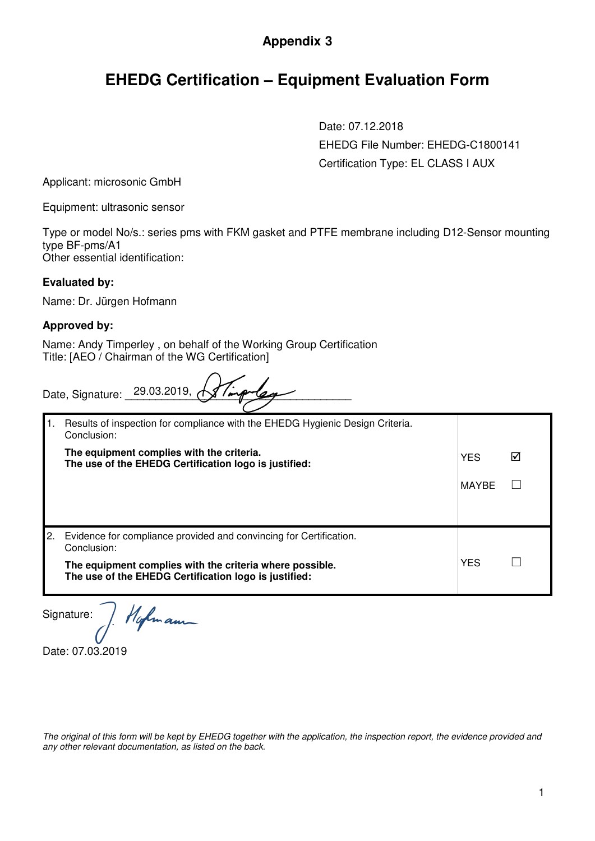### **Appendix 3**

## **EHEDG Certification – Equipment Evaluation Form**

Date: 07.12.2018 EHEDG File Number: EHEDG-C1800141 Certification Type: EL CLASS I AUX

Applicant: microsonic GmbH

Equipment: ultrasonic sensor

Type or model No/s.: series pms with FKM gasket and PTFE membrane including D12-Sensor mounting type BF-pms/A1 Other essential identification:

#### **Evaluated by:**

Name: Dr. Jürgen Hofmann

#### **Approved by:**

Name: Andy Timperley , on behalf of the Working Group Certification Title: [AEO / Chairman of the WG Certification]

| Date, Signature: 29.03.2019, Allingua |  |  |
|---------------------------------------|--|--|
|                                       |  |  |

| Results of inspection for compliance with the EHEDG Hygienic Design Criteria.<br>Conclusion:                      |            |  |
|-------------------------------------------------------------------------------------------------------------------|------------|--|
| The equipment complies with the criteria.<br>The use of the EHEDG Certification logo is justified:                | <b>YES</b> |  |
|                                                                                                                   | MAYBE      |  |
|                                                                                                                   |            |  |
| Evidence for compliance provided and convincing for Certification.<br>Conclusion:                                 |            |  |
| The equipment complies with the criteria where possible.<br>The use of the EHEDG Certification logo is justified: | <b>YES</b> |  |

Hofman Signature:

Date: 07.03.2019

*The original of this form will be kept by EHEDG together with the application, the inspection report, the evidence provided and any other relevant documentation, as listed on the back.*